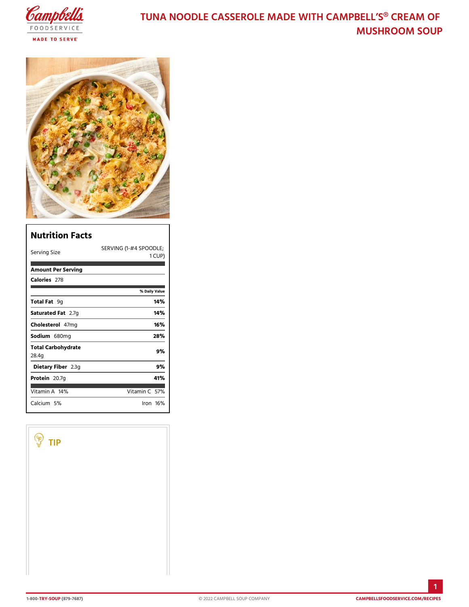## TUNA NOODLE CASSEROLE MADE WITH CAM MUSHROOM SO

| Nutrition Facts             |                                   |
|-----------------------------|-----------------------------------|
| Serving Size                | SERVINGS(PPO#O4DLE;<br>CUP)<br>1. |
| Amount Per Serving          |                                   |
| Calorie2s78                 |                                   |
|                             | % Daily Vallue                    |
| Total F9aq                  | 14%                               |
| Saturated 2F. atg           | 14%                               |
| $Choleste4d$ m g            | 16%                               |
| Sodium 680 mg               | 28%                               |
| Total Carbohydrate<br>28.4g | 9%                                |
| Dietary F21b3egr            | 9%                                |
| Proteiã0.7g                 | 41%                               |
| Vitamin1A4%                 | Vitamin5C%                        |
| Calciu5m%                   | lron 16 %                         |

Г

TIP